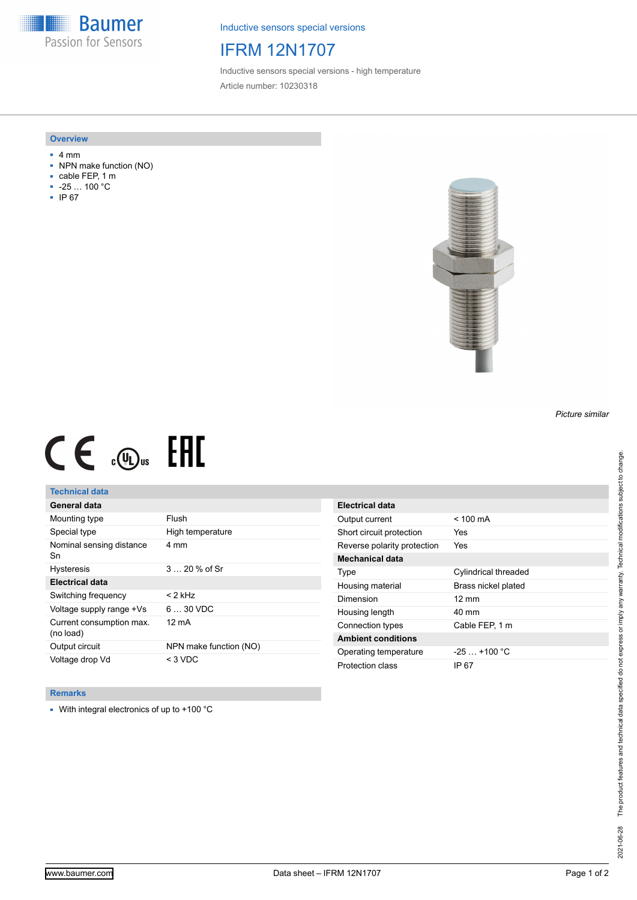**Baumer** Passion for Sensors

Inductive sensors special versions

# IFRM 12N1707

Inductive sensors special versions - high temperature Article number: 10230318

#### **Overview**

- 4 mm
- NPN make function (NO)
- cable FEP, 1 m
- -25 … 100 °C
- IP 67



# $CE \text{ and } CH$

## **Technical data**

| General data                          |                        |
|---------------------------------------|------------------------|
| Mounting type                         | Flush                  |
| Special type                          | High temperature       |
| Nominal sensing distance<br>Sn        | 4 mm                   |
| <b>Hysteresis</b>                     | $320%$ of Sr           |
| Electrical data                       |                        |
| Switching frequency                   | < 2 kHz                |
| Voltage supply range +Vs              | $630$ VDC              |
| Current consumption max.<br>(no load) | 12 mA                  |
| Output circuit                        | NPN make function (NO) |
| Voltage drop Vd                       | $<$ 3 VDC              |

| <b>Electrical data</b>      |                             |
|-----------------------------|-----------------------------|
| Output current              | $< 100 \text{ mA}$          |
| Short circuit protection    | Yes                         |
| Reverse polarity protection | Yes                         |
| <b>Mechanical data</b>      |                             |
| Type                        | <b>Cylindrical threaded</b> |
| Housing material            | Brass nickel plated         |
| Dimension                   | $12 \text{ mm}$             |
| Housing length              | 40 mm                       |
| Connection types            | Cable FEP. 1 m              |
| <b>Ambient conditions</b>   |                             |
| Operating temperature       | $-25 + 100 °C$              |
| Protection class            | IP 67                       |

#### **Remarks**

■ With integral electronics of up to +100 °C

*Picture similar*